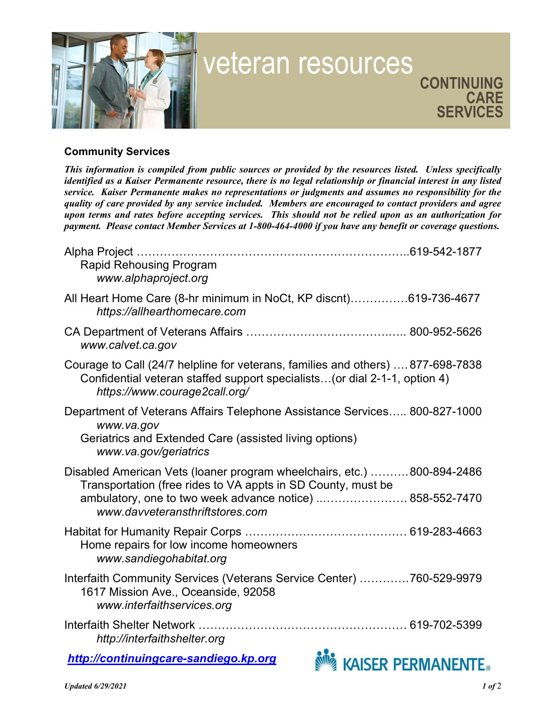

## Community Services

This information is compiled from public sources or provided by the resources listed. Unless specifically identified as a Kaiser Permanente resource, there is no legal relationship or financial interest in any listed service. Kaiser Permanente makes no representations or judgments and assumes no responsibility for the quality of care provided by any service included. Members are encouraged to contact providers and agree upon terms and rates before accepting services. This should not be relied upon as an authorization for payment. Please contact Member Services at 1-800-464-4000 if you have any benefit or coverage questions.

| <b>Rapid Rehousing Program</b><br>www.alphaproject.org                                                                                                                                                                                 |
|----------------------------------------------------------------------------------------------------------------------------------------------------------------------------------------------------------------------------------------|
| All Heart Home Care (8-hr minimum in NoCt, KP discnt)619-736-4677<br>https://allhearthomecare.com                                                                                                                                      |
| www.calvet.ca.gov                                                                                                                                                                                                                      |
| Courage to Call (24/7 helpline for veterans, families and others)  877-698-7838<br>Confidential veteran staffed support specialists (or dial 2-1-1, option 4)<br>https://www.courage2call.org/                                         |
| Department of Veterans Affairs Telephone Assistance Services 800-827-1000<br>www.va.gov<br>Geriatrics and Extended Care (assisted living options)<br>www.va.gov/geriatrics                                                             |
| Disabled American Vets (loaner program wheelchairs, etc.) 800-894-2486<br>Transportation (free rides to VA appts in SD County, must be<br>ambulatory, one to two week advance notice)  858-552-7470<br>www.davveteransthriftstores.com |
| Home repairs for low income homeowners<br>www.sandiegohabitat.org                                                                                                                                                                      |
| Interfaith Community Services (Veterans Service Center) 760-529-9979<br>1617 Mission Ave., Oceanside, 92058<br>www.interfaithservices.org                                                                                              |
| http://interfaithshelter.org                                                                                                                                                                                                           |
| http://continuingcare-sandiego.kp.org<br><b>KAISER PERMANENTE</b>                                                                                                                                                                      |